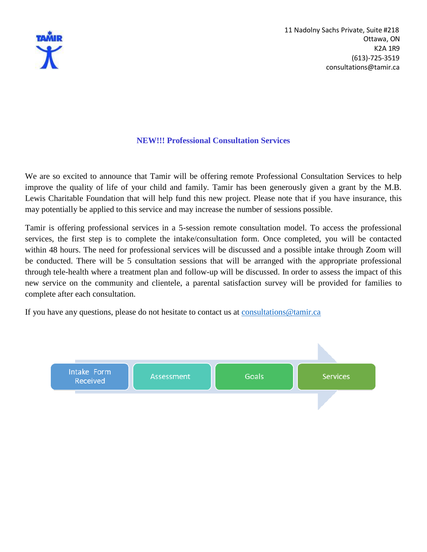

#### **NEW!!! Professional Consultation Services**

We are so excited to announce that Tamir will be offering remote Professional Consultation Services to help improve the quality of life of your child and family. Tamir has been generously given a grant by the M.B. Lewis Charitable Foundation that will help fund this new project. Please note that if you have insurance, this may potentially be applied to this service and may increase the number of sessions possible.

Tamir is offering professional services in a 5-session remote consultation model. To access the professional services, the first step is to complete the intake/consultation form. Once completed, you will be contacted within 48 hours. The need for professional services will be discussed and a possible intake through Zoom will be conducted. There will be 5 consultation sessions that will be arranged with the appropriate professional through tele-health where a treatment plan and follow-up will be discussed. In order to assess the impact of this new service on the community and clientele, a parental satisfaction survey will be provided for families to complete after each consultation.

If you have any questions, please do not hesitate to contact us at consultations @tamir.ca

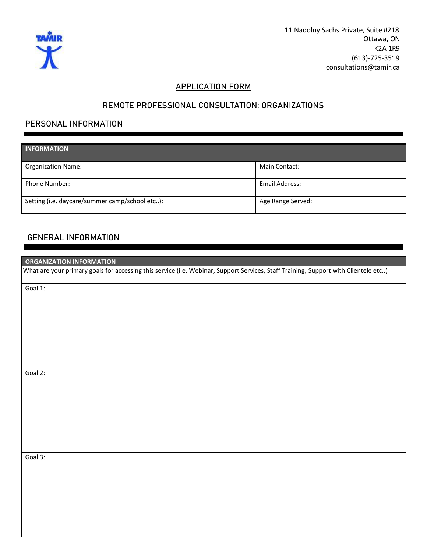

11 Nadolny Sachs Private, Suite #218 Ottawa, ON K2A 1R9 (613)-725-3519 [consultations@tamir.ca](mailto:consultations@tamir.ca)

#### **APPLICATION FORM**

# **REMOTE PROFESSIONAL CONSULTATION: ORGANIZATIONS**

## **PERSONAL INFORMATION**

| <b>INFORMATION</b>                             |                   |
|------------------------------------------------|-------------------|
|                                                |                   |
| <b>Organization Name:</b>                      | Main Contact:     |
|                                                |                   |
| <b>Phone Number:</b>                           | Email Address:    |
|                                                |                   |
| Setting (i.e. daycare/summer camp/school etc): | Age Range Served: |
|                                                |                   |

## **GENERAL INFORMATION**

| ı<br><b>ORGANIZATION INFORMATION</b>                                                                                                |  |
|-------------------------------------------------------------------------------------------------------------------------------------|--|
| What are your primary goals for accessing this service (i.e. Webinar, Support Services, Staff Training, Support with Clientele etc) |  |
| Goal 1:                                                                                                                             |  |
|                                                                                                                                     |  |
|                                                                                                                                     |  |
|                                                                                                                                     |  |
|                                                                                                                                     |  |
|                                                                                                                                     |  |
|                                                                                                                                     |  |
| Goal 2:                                                                                                                             |  |
|                                                                                                                                     |  |
|                                                                                                                                     |  |
|                                                                                                                                     |  |
|                                                                                                                                     |  |
|                                                                                                                                     |  |
|                                                                                                                                     |  |
| Goal 3:                                                                                                                             |  |
|                                                                                                                                     |  |
|                                                                                                                                     |  |
|                                                                                                                                     |  |
|                                                                                                                                     |  |
|                                                                                                                                     |  |
|                                                                                                                                     |  |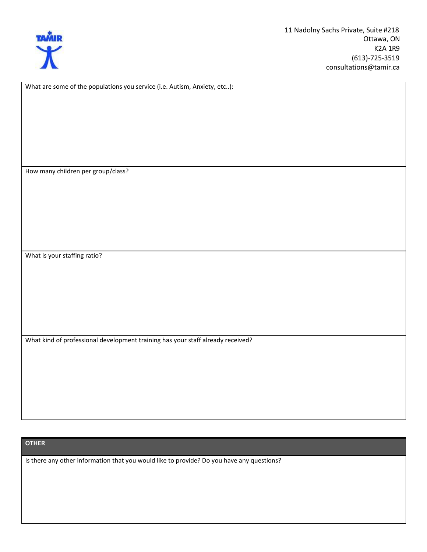

What are some of the populations you service (i.e. Autism, Anxiety, etc..):

How many children per group/class?

What is your staffing ratio?

What kind of professional development training has your staff already received?

#### **OTHER**

Is there any other information that you would like to provide? Do you have any questions?